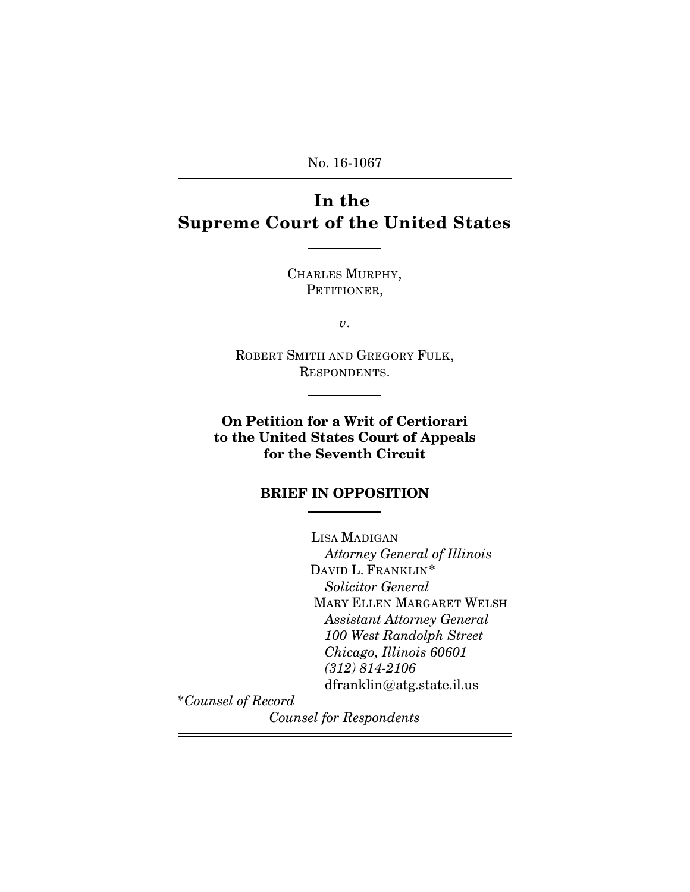No. 16-1067

# **In the Supreme Court of the United States**

 $\overline{a}$ 

 $\overline{a}$ 

 $\overline{a}$ 

CHARLES MURPHY, PETITIONER,

*v*.

ROBERT SMITH AND GREGORY FULK, RESPONDENTS.

**On Petition for a Writ of Certiorari to the United States Court of Appeals for the Seventh Circuit**

#### **BRIEF IN OPPOSITION**  $\overline{a}$

LISA MADIGAN *Attorney General of Illinois* DAVID L. FRANKLIN*\* Solicitor General* MARY ELLEN MARGARET WELSH *Assistant Attorney General 100 West Randolph Street Chicago, Illinois 60601 (312) 814-2106* dfranklin@atg.state.il.us

\**Counsel of Record*

*Counsel for Respondents*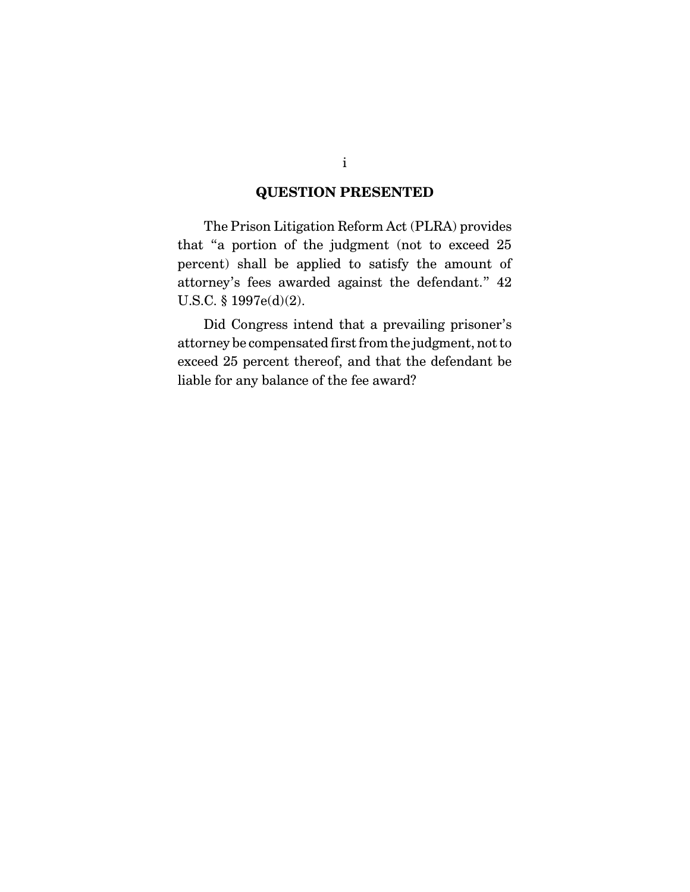### **QUESTION PRESENTED**

The Prison Litigation Reform Act (PLRA) provides that "a portion of the judgment (not to exceed 25 percent) shall be applied to satisfy the amount of attorney's fees awarded against the defendant." 42 U.S.C. § 1997e(d)(2).

Did Congress intend that a prevailing prisoner's attorney be compensated first from the judgment, not to exceed 25 percent thereof, and that the defendant be liable for any balance of the fee award?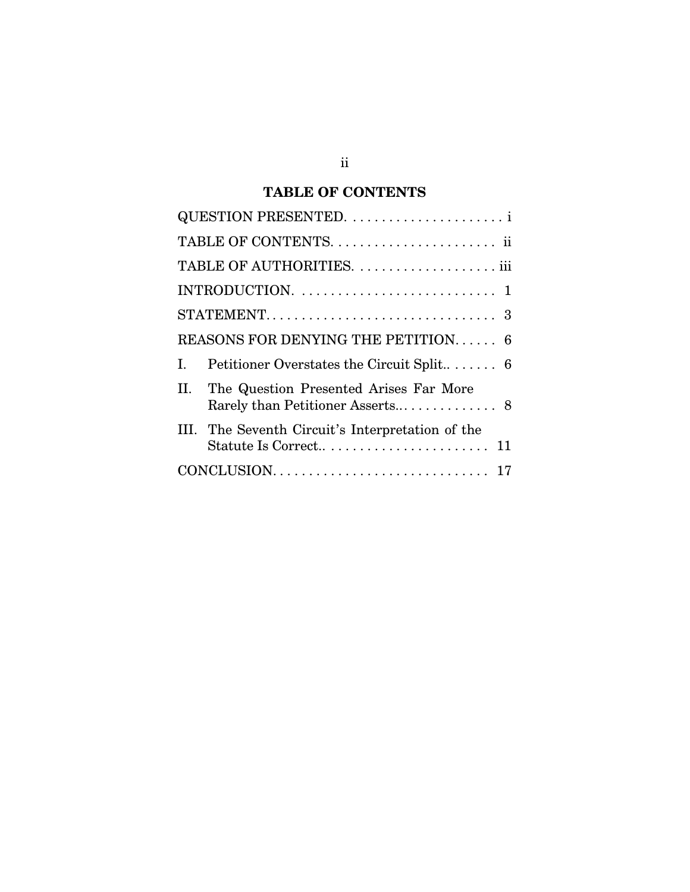## **TABLE OF CONTENTS**

|                                    | TABLE OF AUTHORITIES.  iii                                              |
|------------------------------------|-------------------------------------------------------------------------|
|                                    |                                                                         |
|                                    |                                                                         |
| REASONS FOR DENYING THE PETITION 6 |                                                                         |
| L                                  |                                                                         |
| П.                                 | The Question Presented Arises Far More                                  |
|                                    | The Seventh Circuit's Interpretation of the<br>Statute Is Correct<br>11 |
|                                    |                                                                         |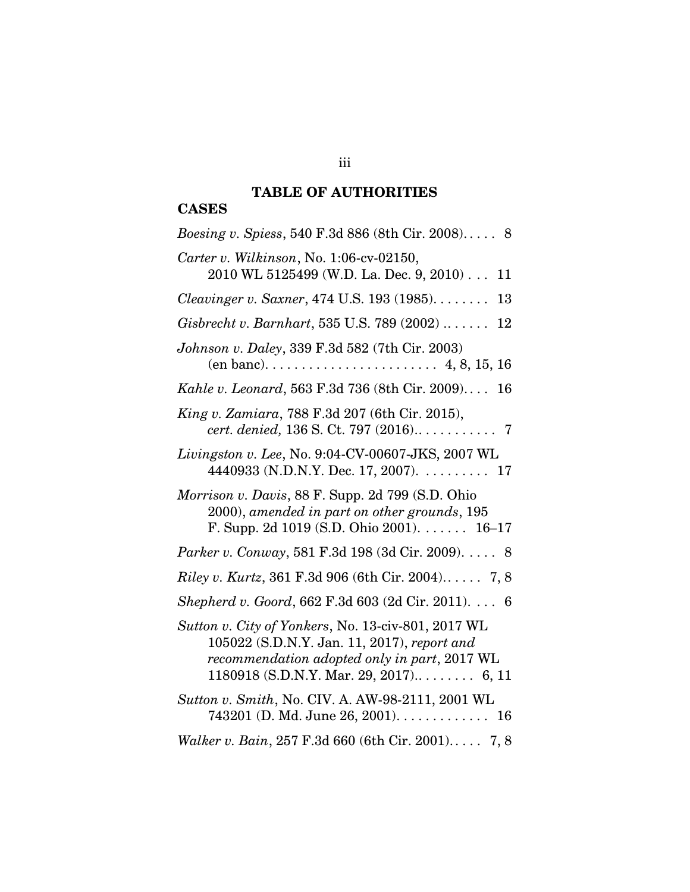## **TABLE OF AUTHORITIES**

## **CASES**

| <i>Boesing v. Spiess,</i> 540 F.3d 886 (8th Cir. 2008) 8                                                                                                                                      |
|-----------------------------------------------------------------------------------------------------------------------------------------------------------------------------------------------|
| Carter v. Wilkinson, No. 1:06-cv-02150,<br>2010 WL 5125499 (W.D. La. Dec. 9, 2010)<br>11                                                                                                      |
| Cleavinger v. Saxner, 474 U.S. 193 (1985)<br>13                                                                                                                                               |
| Gisbrecht v. Barnhart, 535 U.S. 789 $(2002)$<br>12                                                                                                                                            |
| Johnson v. Daley, 339 F.3d 582 (7th Cir. 2003)                                                                                                                                                |
| Kahle v. Leonard, 563 F.3d 736 (8th Cir. 2009)<br>16                                                                                                                                          |
| King v. Zamiara, 788 F.3d 207 (6th Cir. 2015),                                                                                                                                                |
| Livingston v. Lee, No. 9:04-CV-00607-JKS, 2007 WL<br>4440933 (N.D.N.Y. Dec. 17, 2007). 17                                                                                                     |
| <i>Morrison v. Davis, 88 F. Supp. 2d 799 (S.D. Ohio</i><br>2000), amended in part on other grounds, 195<br>F. Supp. 2d 1019 (S.D. Ohio 2001). $\dots$ 16-17                                   |
| Parker v. Conway, 581 F.3d 198 (3d Cir. 2009). 8                                                                                                                                              |
| <i>Riley v. Kurtz</i> , 361 F.3d 906 (6th Cir. 2004) 7, 8                                                                                                                                     |
| Shepherd v. Goord, 662 F.3d 603 (2d Cir. 2011). 6                                                                                                                                             |
| Sutton v. City of Yonkers, No. 13-civ-801, 2017 WL<br>105022 (S.D.N.Y. Jan. 11, 2017), report and<br>recommendation adopted only in part, 2017 WL<br>$1180918$ (S.D.N.Y. Mar. 29, 2017) 6, 11 |
| Sutton v. Smith, No. CIV. A. AW-98-2111, 2001 WL<br>$743201$ (D. Md. June 26, 2001). 16                                                                                                       |
| Walker v. Bain, 257 F.3d 660 (6th Cir. 2001) 7, 8                                                                                                                                             |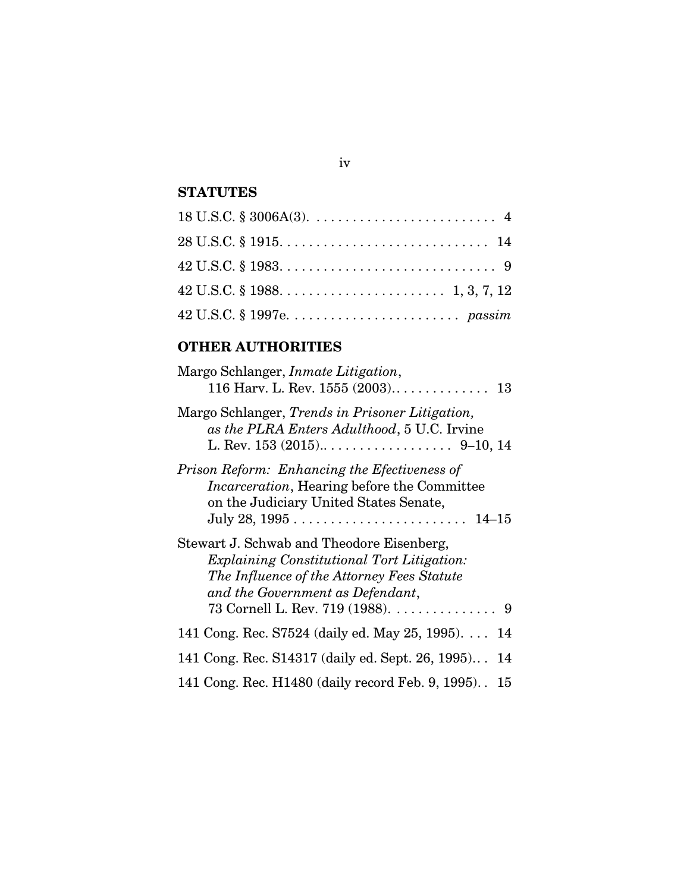### **STATUTES**

## **OTHER AUTHORITIES**

| Margo Schlanger, <i>Inmate Litigation</i> ,                                                                                                                                                                          |
|----------------------------------------------------------------------------------------------------------------------------------------------------------------------------------------------------------------------|
| Margo Schlanger, Trends in Prisoner Litigation,<br>as the PLRA Enters Adulthood, 5 U.C. Irvine                                                                                                                       |
| Prison Reform: Enhancing the Efectiveness of<br><i>Incarceration</i> , Hearing before the Committee<br>on the Judiciary United States Senate,                                                                        |
| Stewart J. Schwab and Theodore Eisenberg,<br><i>Explaining Constitutional Tort Litigation:</i><br>The Influence of the Attorney Fees Statute<br>and the Government as Defendant,<br>73 Cornell L. Rev. 719 (1988). 9 |
| 141 Cong. Rec. S7524 (daily ed. May 25, 1995)<br>14                                                                                                                                                                  |
| 141 Cong. Rec. S14317 (daily ed. Sept. 26, 1995) 14                                                                                                                                                                  |
| 141 Cong. Rec. H1480 (daily record Feb. 9, 1995). 15                                                                                                                                                                 |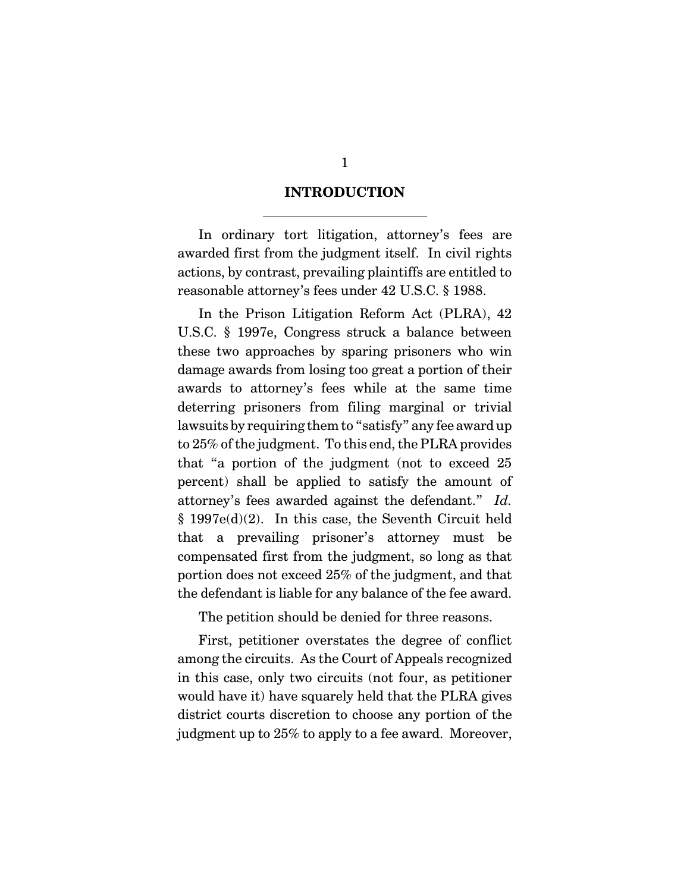#### **INTRODUCTION**

 $\overline{a}$ 

In ordinary tort litigation, attorney's fees are awarded first from the judgment itself. In civil rights actions, by contrast, prevailing plaintiffs are entitled to reasonable attorney's fees under 42 U.S.C. § 1988.

In the Prison Litigation Reform Act (PLRA), 42 U.S.C. § 1997e, Congress struck a balance between these two approaches by sparing prisoners who win damage awards from losing too great a portion of their awards to attorney's fees while at the same time deterring prisoners from filing marginal or trivial lawsuits by requiring them to "satisfy" any fee award up to 25% of the judgment. To this end, the PLRA provides that "a portion of the judgment (not to exceed 25 percent) shall be applied to satisfy the amount of attorney's fees awarded against the defendant." *Id.* § 1997e(d)(2). In this case, the Seventh Circuit held that a prevailing prisoner's attorney must be compensated first from the judgment, so long as that portion does not exceed 25% of the judgment, and that the defendant is liable for any balance of the fee award.

The petition should be denied for three reasons.

First, petitioner overstates the degree of conflict among the circuits. As the Court of Appeals recognized in this case, only two circuits (not four, as petitioner would have it) have squarely held that the PLRA gives district courts discretion to choose any portion of the judgment up to 25% to apply to a fee award. Moreover,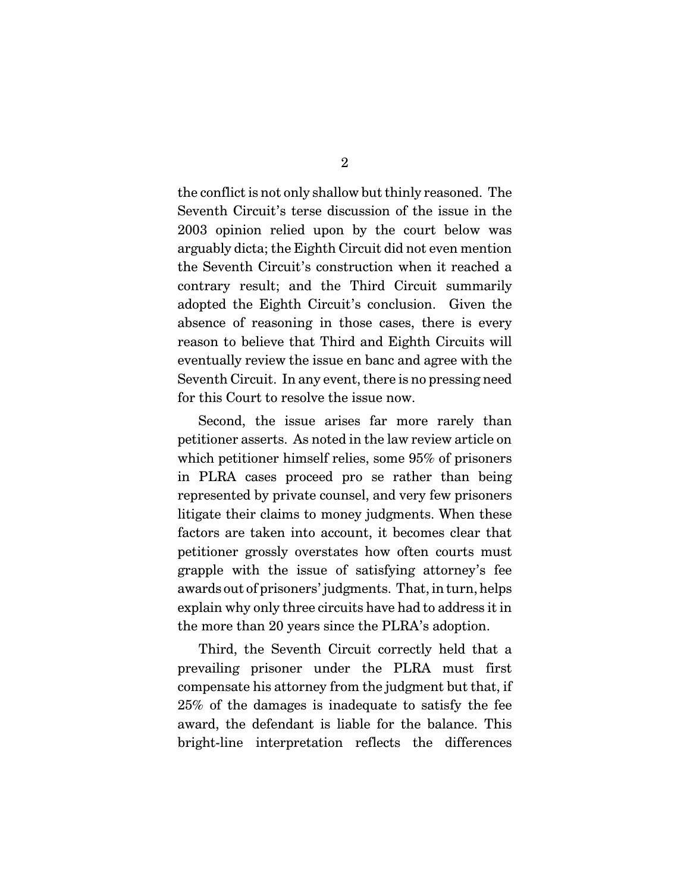the conflict is not only shallow but thinly reasoned. The Seventh Circuit's terse discussion of the issue in the 2003 opinion relied upon by the court below was arguably dicta; the Eighth Circuit did not even mention the Seventh Circuit's construction when it reached a contrary result; and the Third Circuit summarily adopted the Eighth Circuit's conclusion. Given the absence of reasoning in those cases, there is every reason to believe that Third and Eighth Circuits will eventually review the issue en banc and agree with the Seventh Circuit. In any event, there is no pressing need for this Court to resolve the issue now.

Second, the issue arises far more rarely than petitioner asserts. As noted in the law review article on which petitioner himself relies, some 95% of prisoners in PLRA cases proceed pro se rather than being represented by private counsel, and very few prisoners litigate their claims to money judgments. When these factors are taken into account, it becomes clear that petitioner grossly overstates how often courts must grapple with the issue of satisfying attorney's fee awards out of prisoners' judgments. That, in turn, helps explain why only three circuits have had to address it in the more than 20 years since the PLRA's adoption.

Third, the Seventh Circuit correctly held that a prevailing prisoner under the PLRA must first compensate his attorney from the judgment but that, if 25% of the damages is inadequate to satisfy the fee award, the defendant is liable for the balance. This bright-line interpretation reflects the differences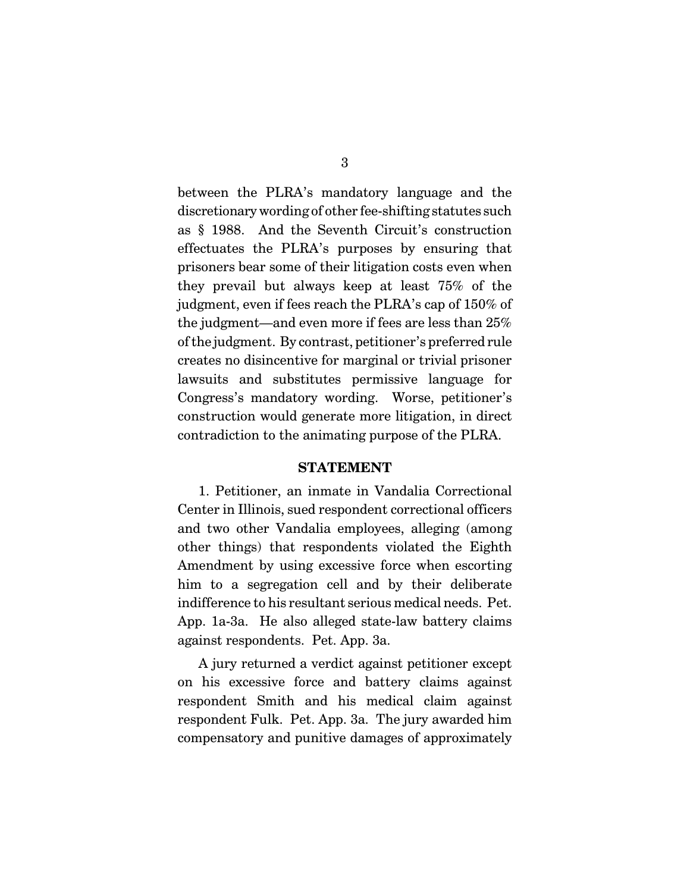between the PLRA's mandatory language and the discretionarywording of other fee-shifting statutes such as § 1988. And the Seventh Circuit's construction effectuates the PLRA's purposes by ensuring that prisoners bear some of their litigation costs even when they prevail but always keep at least 75% of the judgment, even if fees reach the PLRA's cap of 150% of the judgment—and even more if fees are less than 25% of the judgment. By contrast, petitioner's preferred rule creates no disincentive for marginal or trivial prisoner lawsuits and substitutes permissive language for Congress's mandatory wording. Worse, petitioner's construction would generate more litigation, in direct contradiction to the animating purpose of the PLRA.

#### **STATEMENT**

1. Petitioner, an inmate in Vandalia Correctional Center in Illinois, sued respondent correctional officers and two other Vandalia employees, alleging (among other things) that respondents violated the Eighth Amendment by using excessive force when escorting him to a segregation cell and by their deliberate indifference to his resultant serious medical needs. Pet. App. 1a-3a. He also alleged state-law battery claims against respondents. Pet. App. 3a.

A jury returned a verdict against petitioner except on his excessive force and battery claims against respondent Smith and his medical claim against respondent Fulk. Pet. App. 3a. The jury awarded him compensatory and punitive damages of approximately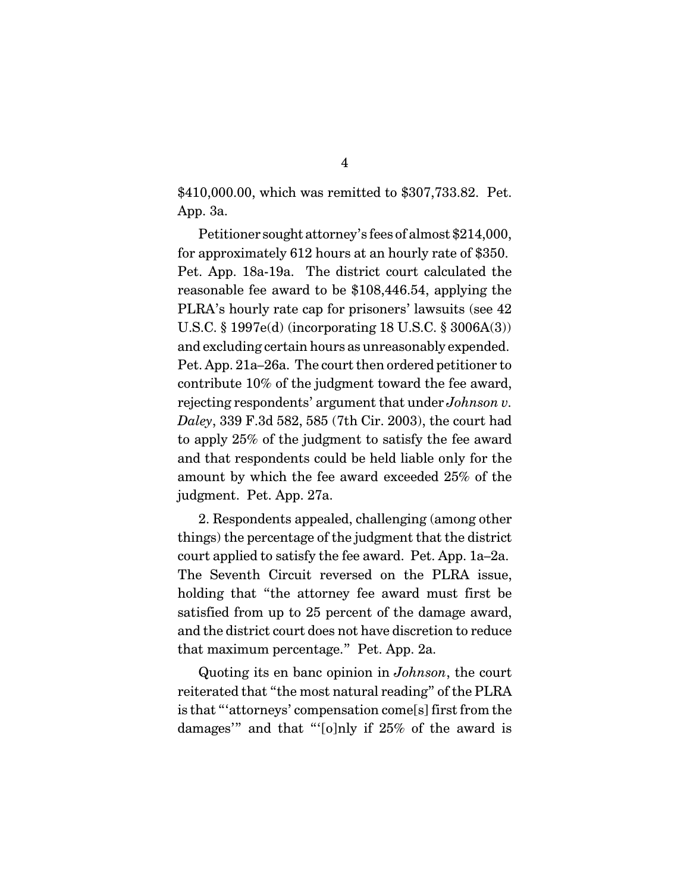\$410,000.00, which was remitted to \$307,733.82. Pet. App. 3a.

Petitioner sought attorney's fees of almost \$214,000, for approximately 612 hours at an hourly rate of \$350. Pet. App. 18a-19a. The district court calculated the reasonable fee award to be \$108,446.54, applying the PLRA's hourly rate cap for prisoners' lawsuits (see 42 U.S.C. § 1997e(d) (incorporating 18 U.S.C. § 3006A(3)) and excluding certain hours as unreasonably expended. Pet. App. 21a–26a. The court then ordered petitioner to contribute 10% of the judgment toward the fee award, rejecting respondents' argument that under *Johnson v. Daley*, 339 F.3d 582, 585 (7th Cir. 2003), the court had to apply 25% of the judgment to satisfy the fee award and that respondents could be held liable only for the amount by which the fee award exceeded 25% of the judgment. Pet. App. 27a.

2. Respondents appealed, challenging (among other things) the percentage of the judgment that the district court applied to satisfy the fee award. Pet. App. 1a–2a. The Seventh Circuit reversed on the PLRA issue, holding that "the attorney fee award must first be satisfied from up to 25 percent of the damage award, and the district court does not have discretion to reduce that maximum percentage." Pet. App. 2a.

Quoting its en banc opinion in *Johnson*, the court reiterated that "the most natural reading" of the PLRA is that "'attorneys' compensation come[s] first from the damages'" and that "'[o]nly if 25% of the award is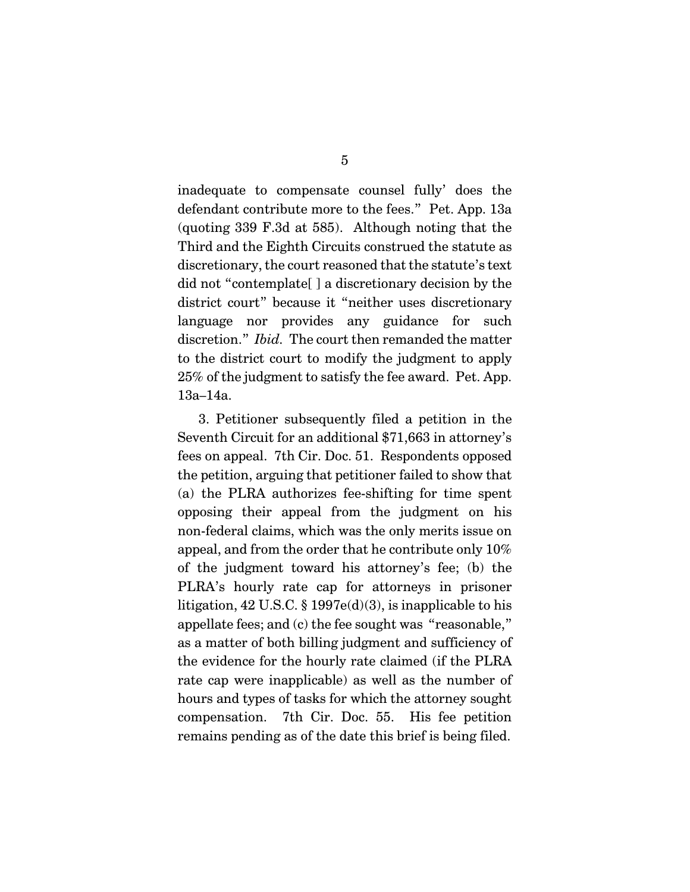inadequate to compensate counsel fully' does the defendant contribute more to the fees." Pet. App. 13a (quoting 339 F.3d at 585). Although noting that the Third and the Eighth Circuits construed the statute as discretionary, the court reasoned that the statute's text did not "contemplate[ ] a discretionary decision by the district court" because it "neither uses discretionary language nor provides any guidance for such discretion." *Ibid.* The court then remanded the matter to the district court to modify the judgment to apply 25% of the judgment to satisfy the fee award. Pet. App. 13a–14a.

3. Petitioner subsequently filed a petition in the Seventh Circuit for an additional \$71,663 in attorney's fees on appeal. 7th Cir. Doc. 51. Respondents opposed the petition, arguing that petitioner failed to show that (a) the PLRA authorizes fee-shifting for time spent opposing their appeal from the judgment on his non-federal claims, which was the only merits issue on appeal, and from the order that he contribute only 10% of the judgment toward his attorney's fee; (b) the PLRA's hourly rate cap for attorneys in prisoner litigation, 42 U.S.C. § 1997e(d)(3), is inapplicable to his appellate fees; and (c) the fee sought was "reasonable," as a matter of both billing judgment and sufficiency of the evidence for the hourly rate claimed (if the PLRA rate cap were inapplicable) as well as the number of hours and types of tasks for which the attorney sought compensation. 7th Cir. Doc. 55. His fee petition remains pending as of the date this brief is being filed.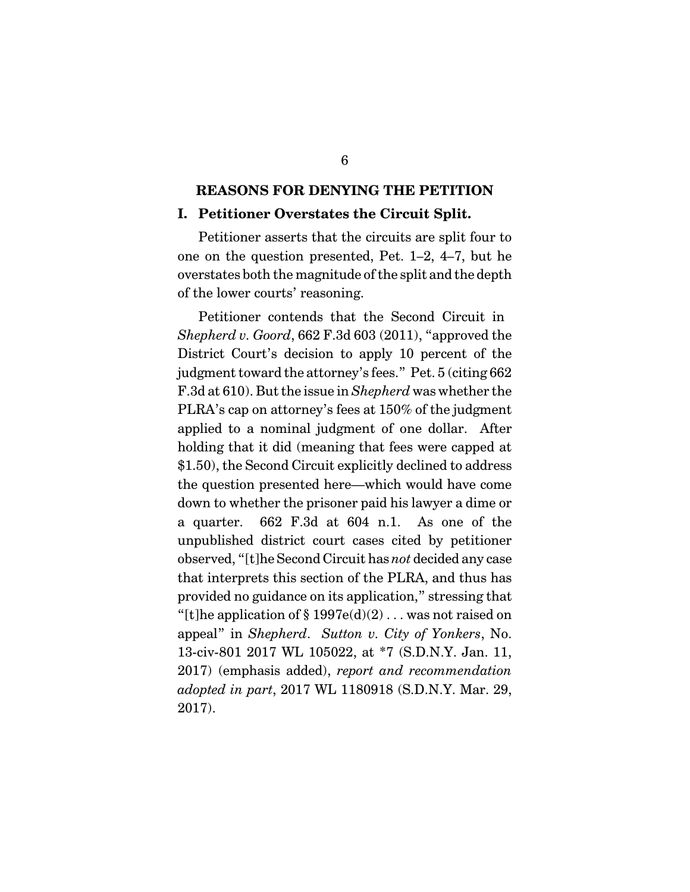#### **REASONS FOR DENYING THE PETITION**

#### **I. Petitioner Overstates the Circuit Split.**

Petitioner asserts that the circuits are split four to one on the question presented, Pet. 1–2, 4–7, but he overstates both the magnitude of the split and the depth of the lower courts' reasoning.

Petitioner contends that the Second Circuit in *Shepherd v. Goord*, 662 F.3d 603 (2011), "approved the District Court's decision to apply 10 percent of the judgment toward the attorney's fees." Pet. 5 (citing 662 F.3d at 610). But the issue in *Shepherd* was whether the PLRA's cap on attorney's fees at 150% of the judgment applied to a nominal judgment of one dollar. After holding that it did (meaning that fees were capped at \$1.50), the Second Circuit explicitly declined to address the question presented here—which would have come down to whether the prisoner paid his lawyer a dime or a quarter. 662 F.3d at 604 n.1. As one of the unpublished district court cases cited by petitioner observed, "[t]he Second Circuit has *not* decided any case that interprets this section of the PLRA, and thus has provided no guidance on its application," stressing that "[t]he application of  $\S 1997e(d)(2)$ ... was not raised on appeal" in *Shepherd*. *Sutton v. City of Yonkers*, No. 13-civ-801 2017 WL 105022, at \*7 (S.D.N.Y. Jan. 11, 2017) (emphasis added), *report and recommendation adopted in part*, 2017 WL 1180918 (S.D.N.Y. Mar. 29, 2017).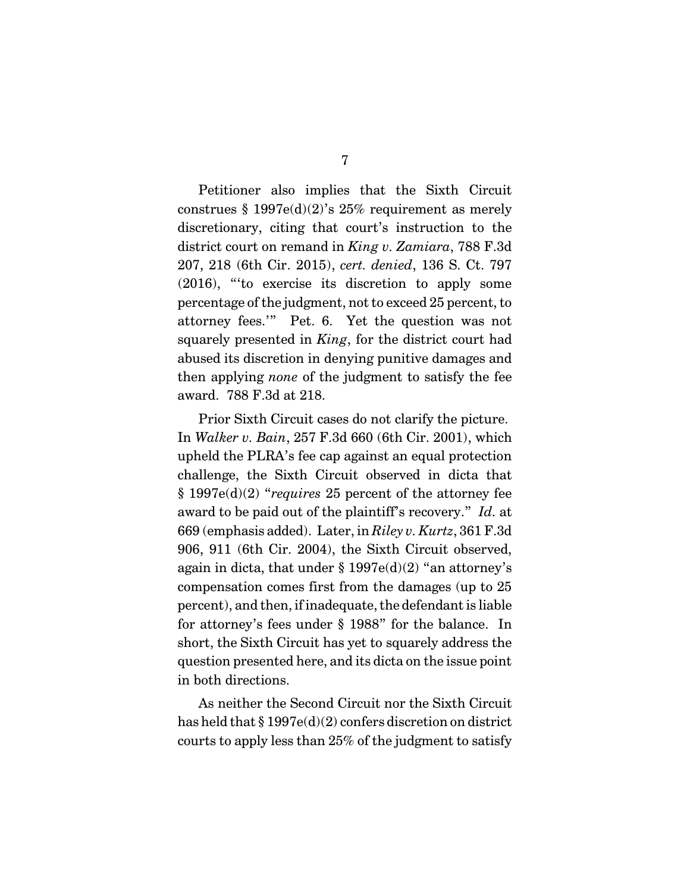Petitioner also implies that the Sixth Circuit construes  $$ 1997e(d)(2)'s 25\%$  requirement as merely discretionary, citing that court's instruction to the district court on remand in *King v. Zamiara*, 788 F.3d 207, 218 (6th Cir. 2015), *cert. denied*, 136 S. Ct. 797 (2016), "'to exercise its discretion to apply some percentage of the judgment, not to exceed 25 percent, to attorney fees.'" Pet. 6. Yet the question was not squarely presented in *King*, for the district court had abused its discretion in denying punitive damages and then applying *none* of the judgment to satisfy the fee award. 788 F.3d at 218.

Prior Sixth Circuit cases do not clarify the picture. In *Walker v. Bain*, 257 F.3d 660 (6th Cir. 2001), which upheld the PLRA's fee cap against an equal protection challenge, the Sixth Circuit observed in dicta that § 1997e(d)(2) "*requires* 25 percent of the attorney fee award to be paid out of the plaintiff's recovery." *Id.* at 669 (emphasis added). Later, in *Riley v. Kurtz*, 361 F.3d 906, 911 (6th Cir. 2004), the Sixth Circuit observed, again in dicta, that under  $\S 1997e(d)(2)$  "an attorney's compensation comes first from the damages (up to 25 percent), and then, if inadequate, the defendant is liable for attorney's fees under § 1988" for the balance. In short, the Sixth Circuit has yet to squarely address the question presented here, and its dicta on the issue point in both directions.

As neither the Second Circuit nor the Sixth Circuit has held that § 1997e(d)(2) confers discretion on district courts to apply less than 25% of the judgment to satisfy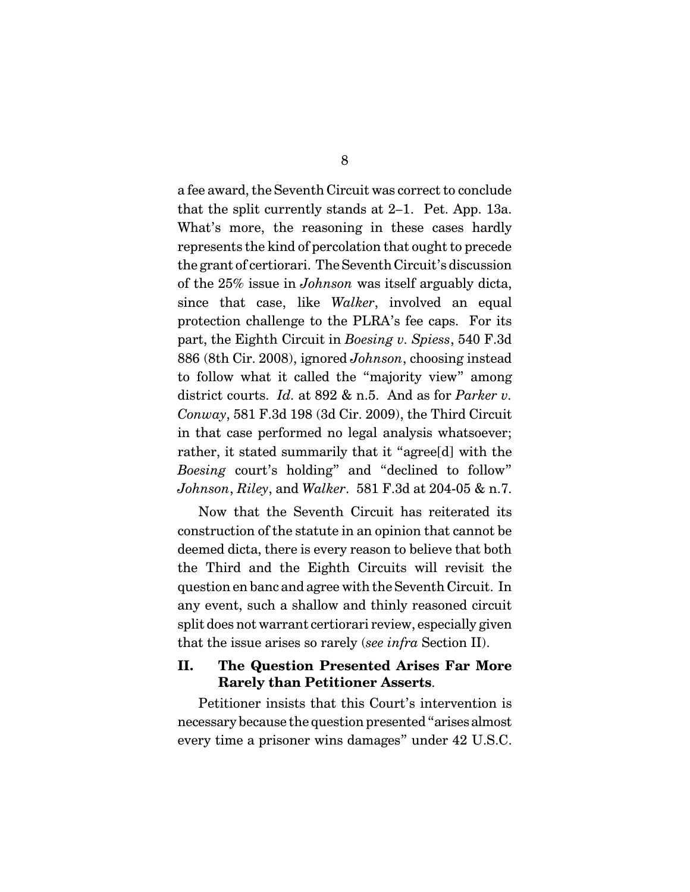a fee award, the Seventh Circuit was correct to conclude that the split currently stands at 2–1. Pet. App. 13a. What's more, the reasoning in these cases hardly represents the kind of percolation that ought to precede the grant of certiorari. The Seventh Circuit's discussion of the 25% issue in *Johnson* was itself arguably dicta, since that case, like *Walker*, involved an equal protection challenge to the PLRA's fee caps. For its part, the Eighth Circuit in *Boesing v. Spiess*, 540 F.3d 886 (8th Cir. 2008), ignored *Johnson*, choosing instead to follow what it called the "majority view" among district courts. *Id.* at 892 & n.5. And as for *Parker v. Conway*, 581 F.3d 198 (3d Cir. 2009), the Third Circuit in that case performed no legal analysis whatsoever; rather, it stated summarily that it "agree[d] with the *Boesing* court's holding" and "declined to follow" *Johnson*, *Riley*, and *Walker*. 581 F.3d at 204-05 & n.7.

Now that the Seventh Circuit has reiterated its construction of the statute in an opinion that cannot be deemed dicta, there is every reason to believe that both the Third and the Eighth Circuits will revisit the question en banc and agree with the Seventh Circuit. In any event, such a shallow and thinly reasoned circuit split does not warrant certiorari review, especially given that the issue arises so rarely (*see infra* Section II).

### **II. The Question Presented Arises Far More Rarely than Petitioner Asserts**.

Petitioner insists that this Court's intervention is necessary because the question presented "arises almost every time a prisoner wins damages" under 42 U.S.C.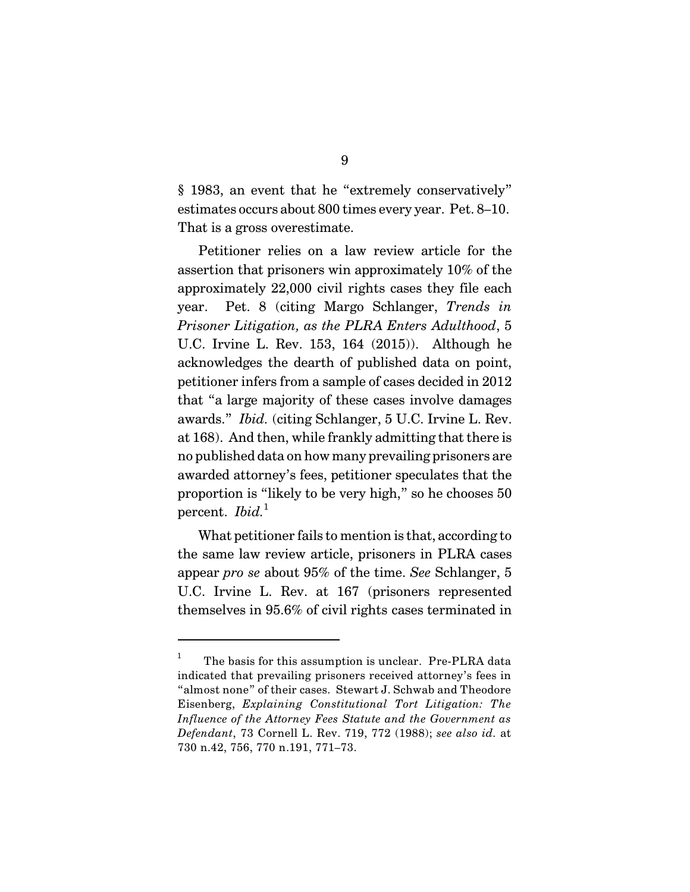§ 1983, an event that he "extremely conservatively" estimates occurs about 800 times every year. Pet. 8–10. That is a gross overestimate.

Petitioner relies on a law review article for the assertion that prisoners win approximately 10% of the approximately 22,000 civil rights cases they file each year. Pet. 8 (citing Margo Schlanger, *Trends in Prisoner Litigation, as the PLRA Enters Adulthood*, 5 U.C. Irvine L. Rev. 153, 164 (2015)). Although he acknowledges the dearth of published data on point, petitioner infers from a sample of cases decided in 2012 that "a large majority of these cases involve damages awards." *Ibid.* (citing Schlanger, 5 U.C. Irvine L. Rev. at 168). And then, while frankly admitting that there is no published data on how many prevailing prisoners are awarded attorney's fees, petitioner speculates that the proportion is "likely to be very high," so he chooses 50 percent. *Ibid*.<sup>1</sup>

What petitioner fails to mention is that, according to the same law review article, prisoners in PLRA cases appear *pro se* about 95% of the time. *See* Schlanger, 5 U.C. Irvine L. Rev. at 167 (prisoners represented themselves in 95.6% of civil rights cases terminated in

The basis for this assumption is unclear. Pre-PLRA data 1 indicated that prevailing prisoners received attorney's fees in "almost none" of their cases. Stewart J. Schwab and Theodore Eisenberg, *Explaining Constitutional Tort Litigation: The Influence of the Attorney Fees Statute and the Government as Defendant*, 73 Cornell L. Rev. 719, 772 (1988); *see also id.* at 730 n.42, 756, 770 n.191, 771–73.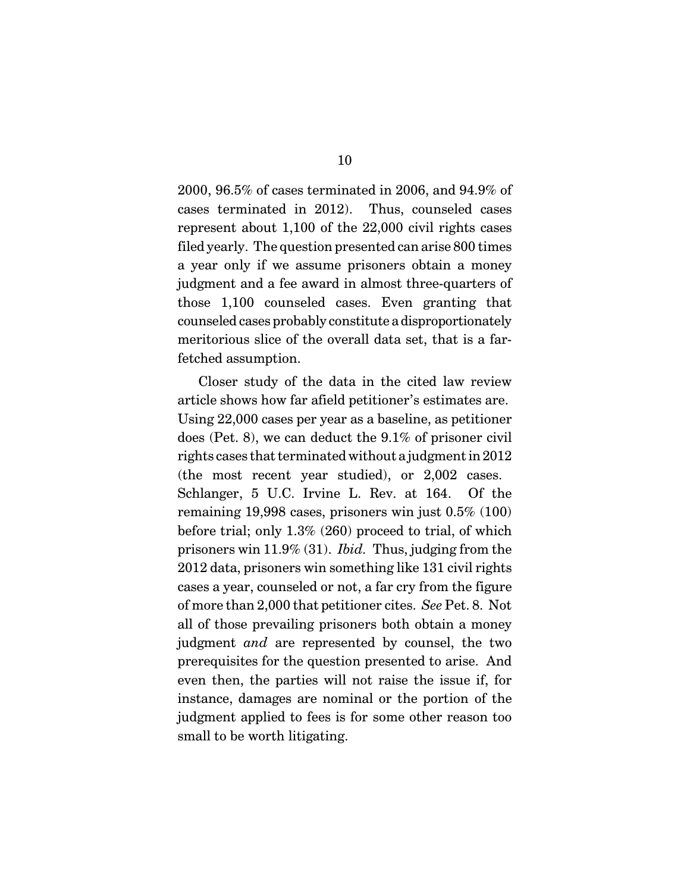2000, 96.5% of cases terminated in 2006, and 94.9% of cases terminated in 2012). Thus, counseled cases represent about 1,100 of the 22,000 civil rights cases filed yearly. The question presented can arise 800 times a year only if we assume prisoners obtain a money judgment and a fee award in almost three-quarters of those 1,100 counseled cases. Even granting that counseled cases probably constitute a disproportionately meritorious slice of the overall data set, that is a farfetched assumption.

Closer study of the data in the cited law review article shows how far afield petitioner's estimates are. Using 22,000 cases per year as a baseline, as petitioner does (Pet. 8), we can deduct the 9.1% of prisoner civil rights cases that terminated without a judgment in2012 (the most recent year studied), or 2,002 cases. Schlanger, 5 U.C. Irvine L. Rev. at 164. Of the remaining 19,998 cases, prisoners win just 0.5% (100) before trial; only 1.3% (260) proceed to trial, of which prisoners win 11.9% (31). *Ibid.* Thus, judging from the 2012 data, prisoners win something like 131 civil rights cases a year, counseled or not, a far cry from the figure of more than 2,000 that petitioner cites. *See* Pet. 8. Not all of those prevailing prisoners both obtain a money judgment *and* are represented by counsel, the two prerequisites for the question presented to arise. And even then, the parties will not raise the issue if, for instance, damages are nominal or the portion of the judgment applied to fees is for some other reason too small to be worth litigating.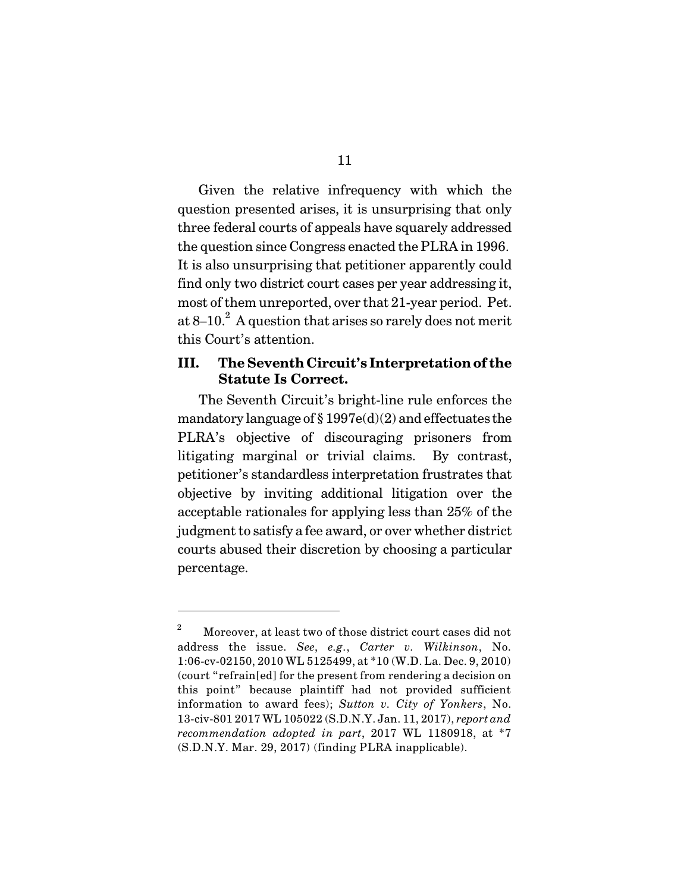Given the relative infrequency with which the question presented arises, it is unsurprising that only three federal courts of appeals have squarely addressed the question since Congress enacted the PLRA in 1996. It is also unsurprising that petitioner apparently could find only two district court cases per year addressing it, most of them unreported, over that 21-year period. Pet. at  $8-10<sup>2</sup>$ . A question that arises so rarely does not merit this Court's attention.

### **III. The Seventh Circuit's Interpretationof the Statute Is Correct.**

The Seventh Circuit's bright-line rule enforces the mandatory language of  $\S 1997e(d)(2)$  and effectuates the PLRA's objective of discouraging prisoners from litigating marginal or trivial claims. By contrast, petitioner's standardless interpretation frustrates that objective by inviting additional litigation over the acceptable rationales for applying less than 25% of the judgment to satisfy a fee award, or over whether district courts abused their discretion by choosing a particular percentage.

Moreover, at least two of those district court cases did not 2 address the issue. *See*, *e.g.*, *Carter v. Wilkinson*, No. 1:06-cv-02150, 2010 WL 5125499, at \*10 (W.D. La. Dec. 9, 2010) (court "refrain[ed] for the present from rendering a decision on this point" because plaintiff had not provided sufficient information to award fees); *Sutton v. City of Yonkers*, No. 13-civ-801 2017 WL 105022 (S.D.N.Y. Jan. 11, 2017), *report and recommendation adopted in part*, 2017 WL 1180918, at \*7 (S.D.N.Y. Mar. 29, 2017) (finding PLRA inapplicable).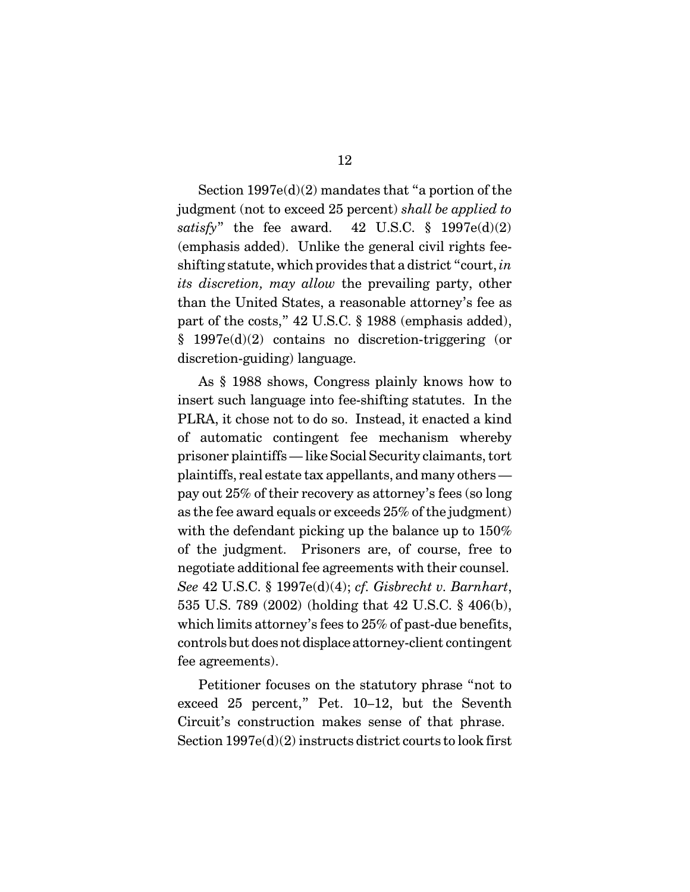Section  $1997e(d)(2)$  mandates that "a portion of the judgment (not to exceed 25 percent) *shall be applied to satisfy*" the fee award. 42 U.S.C.  $\frac{1}{9}$  1997e(d)(2) (emphasis added). Unlike the general civil rights feeshifting statute, which provides that a district "court, *in its discretion, may allow* the prevailing party, other than the United States, a reasonable attorney's fee as part of the costs," 42 U.S.C. § 1988 (emphasis added), § 1997e(d)(2) contains no discretion-triggering (or discretion-guiding) language.

As § 1988 shows, Congress plainly knows how to insert such language into fee-shifting statutes. In the PLRA, it chose not to do so. Instead, it enacted a kind of automatic contingent fee mechanism whereby prisoner plaintiffs — like Social Security claimants, tort plaintiffs, real estate tax appellants, and many others pay out 25% of their recovery as attorney's fees (so long as the fee award equals or exceeds 25% of the judgment) with the defendant picking up the balance up to 150% of the judgment. Prisoners are, of course, free to negotiate additional fee agreements with their counsel. *See* 42 U.S.C. § 1997e(d)(4); *cf. Gisbrecht v. Barnhart*, 535 U.S. 789 (2002) (holding that 42 U.S.C. § 406(b), which limits attorney's fees to 25% of past-due benefits, controls but doesnot displace attorney-client contingent fee agreements).

Petitioner focuses on the statutory phrase "not to exceed 25 percent," Pet. 10–12, but the Seventh Circuit's construction makes sense of that phrase. Section 1997e(d)(2) instructs district courts to look first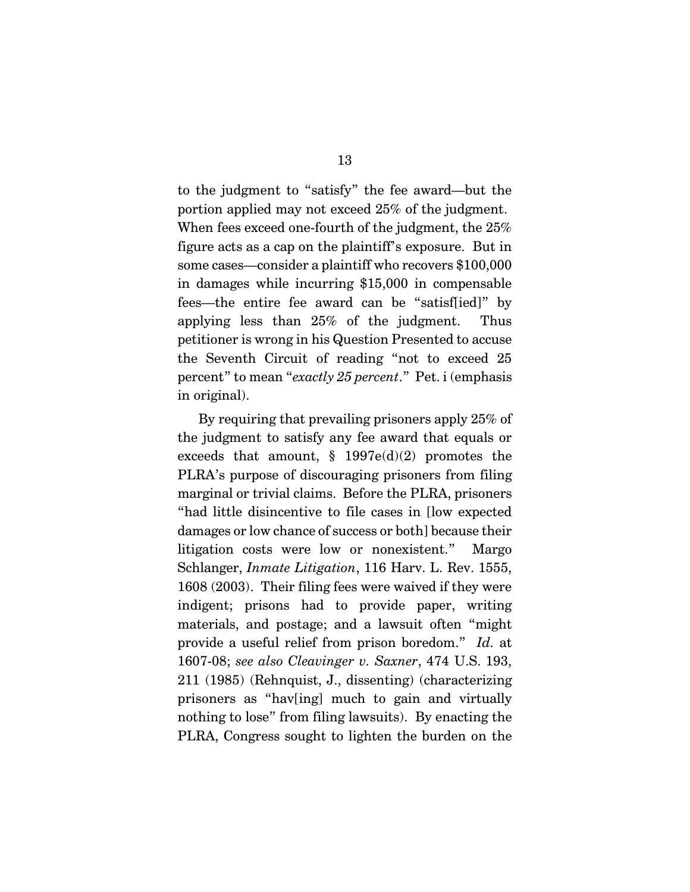to the judgment to "satisfy" the fee award—but the portion applied may not exceed 25% of the judgment. When fees exceed one-fourth of the judgment, the 25% figure acts as a cap on the plaintiff's exposure. But in some cases—consider a plaintiff who recovers \$100,000 in damages while incurring \$15,000 in compensable fees—the entire fee award can be "satisf[ied]" by applying less than 25% of the judgment. Thus petitioner is wrong in his Question Presented to accuse the Seventh Circuit of reading "not to exceed 25 percent" to mean "*exactly 25 percent*." Pet. i (emphasis in original).

By requiring that prevailing prisoners apply 25% of the judgment to satisfy any fee award that equals or exceeds that amount,  $\S$  1997e(d)(2) promotes the PLRA's purpose of discouraging prisoners from filing marginal or trivial claims. Before the PLRA, prisoners "had little disincentive to file cases in [low expected damages or low chance of success or both] because their litigation costs were low or nonexistent." Margo Schlanger, *Inmate Litigation*, 116 Harv. L. Rev. 1555, 1608 (2003). Their filing fees were waived if they were indigent; prisons had to provide paper, writing materials, and postage; and a lawsuit often "might provide a useful relief from prison boredom." *Id.* at 1607-08; *see also Cleavinger v. Saxner*, 474 U.S. 193, 211 (1985) (Rehnquist, J., dissenting) (characterizing prisoners as "hav[ing] much to gain and virtually nothing to lose" from filing lawsuits). By enacting the PLRA, Congress sought to lighten the burden on the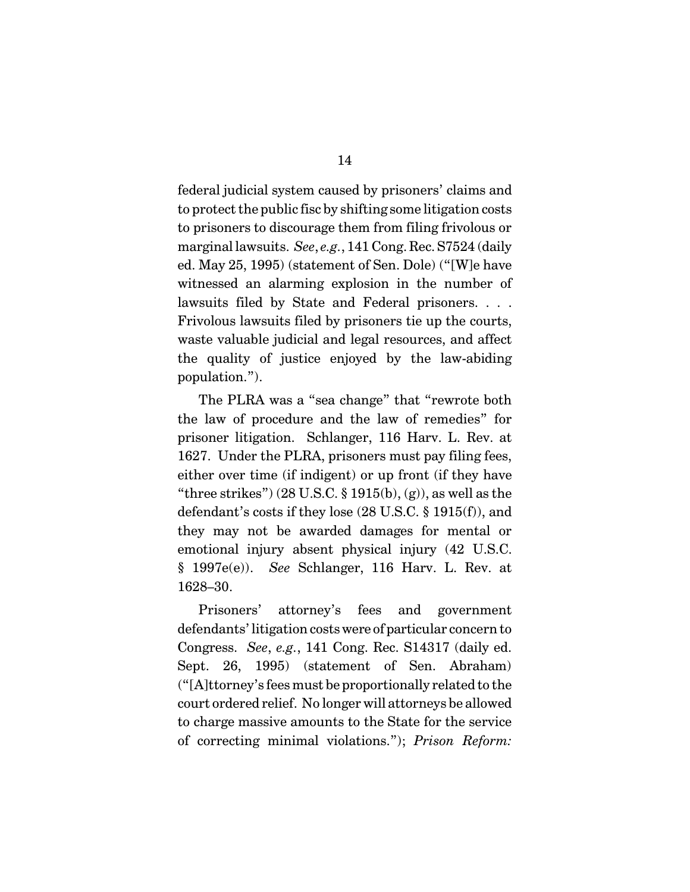federal judicial system caused by prisoners' claims and to protect the public fisc by shifting some litigation costs to prisoners to discourage them from filing frivolous or marginal lawsuits. *See*, *e.g.*, 141 Cong. Rec. S7524 (daily ed. May 25, 1995) (statement of Sen. Dole) ("[W]e have witnessed an alarming explosion in the number of lawsuits filed by State and Federal prisoners. . . . Frivolous lawsuits filed by prisoners tie up the courts, waste valuable judicial and legal resources, and affect the quality of justice enjoyed by the law-abiding population.").

The PLRA was a "sea change" that "rewrote both the law of procedure and the law of remedies" for prisoner litigation. Schlanger, 116 Harv. L. Rev. at 1627. Under the PLRA, prisoners must pay filing fees, either over time (if indigent) or up front (if they have "three strikes")  $(28 \text{ U.S.C. } $1915(b), (g))$ , as well as the defendant's costs if they lose (28 U.S.C. § 1915(f)), and they may not be awarded damages for mental or emotional injury absent physical injury (42 U.S.C. § 1997e(e)). *See* Schlanger, 116 Harv. L. Rev. at 1628–30.

Prisoners' attorney's fees and government defendants' litigation costswere of particular concern to Congress. *See*, *e.g.*, 141 Cong. Rec. S14317 (daily ed. Sept. 26, 1995) (statement of Sen. Abraham) ("[A]ttorney's fees must be proportionally related to the court ordered relief. No longer will attorneys be allowed to charge massive amounts to the State for the service of correcting minimal violations."); *Prison Reform:*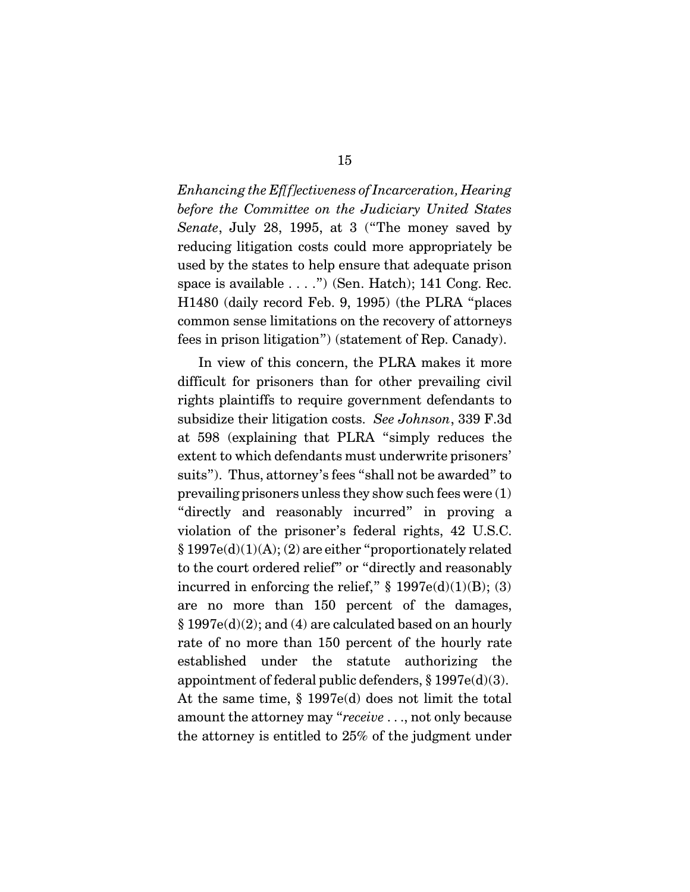*Enhancing the Ef[f]ectiveness of Incarceration, Hearing before the Committee on the Judiciary United States Senate*, July 28, 1995, at 3 ("The money saved by reducing litigation costs could more appropriately be used by the states to help ensure that adequate prison space is available . . . .") (Sen. Hatch); 141 Cong. Rec. H1480 (daily record Feb. 9, 1995) (the PLRA "places common sense limitations on the recovery of attorneys fees in prison litigation") (statement of Rep. Canady).

In view of this concern, the PLRA makes it more difficult for prisoners than for other prevailing civil rights plaintiffs to require government defendants to subsidize their litigation costs. *See Johnson*, 339 F.3d at 598 (explaining that PLRA "simply reduces the extent to which defendants must underwrite prisoners' suits"). Thus, attorney's fees "shall not be awarded" to prevailing prisoners unless they show such fees were (1) "directly and reasonably incurred" in proving a violation of the prisoner's federal rights, 42 U.S.C. § 1997e(d)(1)(A); (2) are either "proportionately related to the court ordered relief" or "directly and reasonably incurred in enforcing the relief,"  $\S$  1997e(d)(1)(B); (3) are no more than 150 percent of the damages, § 1997e(d)(2); and (4) are calculated based on an hourly rate of no more than 150 percent of the hourly rate established under the statute authorizing the appointment of federal public defenders, § 1997e(d)(3). At the same time, § 1997e(d) does not limit the total amount the attorney may "*receive* . . ., not only because the attorney is entitled to 25% of the judgment under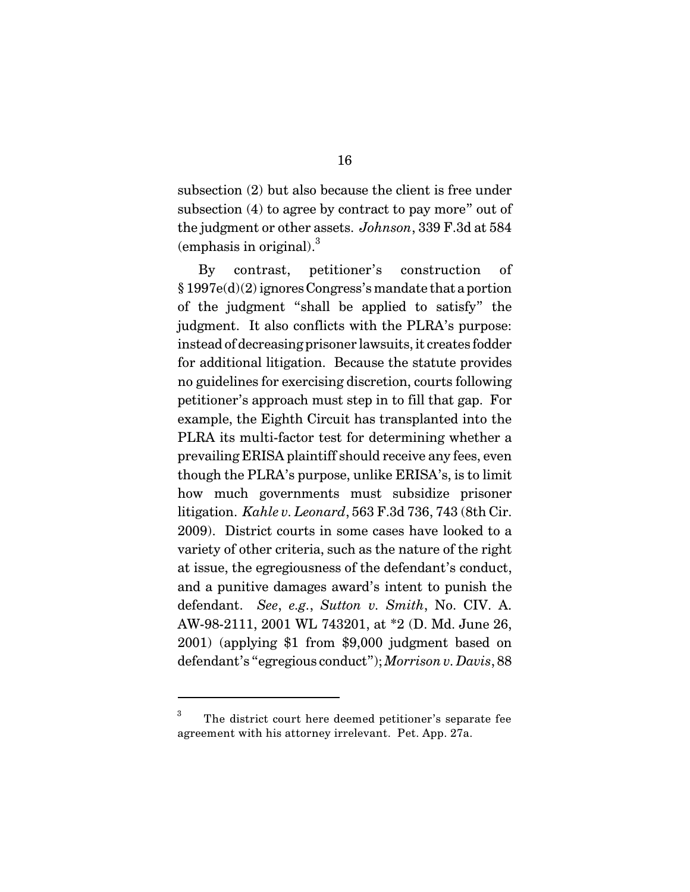subsection (2) but also because the client is free under subsection (4) to agree by contract to pay more" out of the judgment or other assets. *Johnson*, 339 F.3d at 584 (emphasis in original). $3$ 

By contrast, petitioner's construction of  $§ 1997e(d)(2)$  ignores Congress's mandate that a portion of the judgment "shall be applied to satisfy" the judgment. It also conflicts with the PLRA's purpose: instead of decreasing prisoner lawsuits, it creates fodder for additional litigation. Because the statute provides no guidelines for exercising discretion, courts following petitioner's approach must step in to fill that gap. For example, the Eighth Circuit has transplanted into the PLRA its multi-factor test for determining whether a prevailing ERISA plaintiff should receive any fees, even though the PLRA's purpose, unlike ERISA's, is to limit how much governments must subsidize prisoner litigation. *Kahle v. Leonard*, 563 F.3d 736, 743 (8th Cir. 2009). District courts in some cases have looked to a variety of other criteria, such as the nature of the right at issue, the egregiousness of the defendant's conduct, and a punitive damages award's intent to punish the defendant. *See*, *e.g.*, *Sutton v. Smith*, No. CIV. A. AW-98-2111, 2001 WL 743201, at \*2 (D. Md. June 26, 2001) (applying \$1 from \$9,000 judgment based on defendant's "egregious conduct"); *Morrison v. Davis*, 88

The district court here deemed petitioner's separate fee 3 agreement with his attorney irrelevant. Pet. App. 27a.